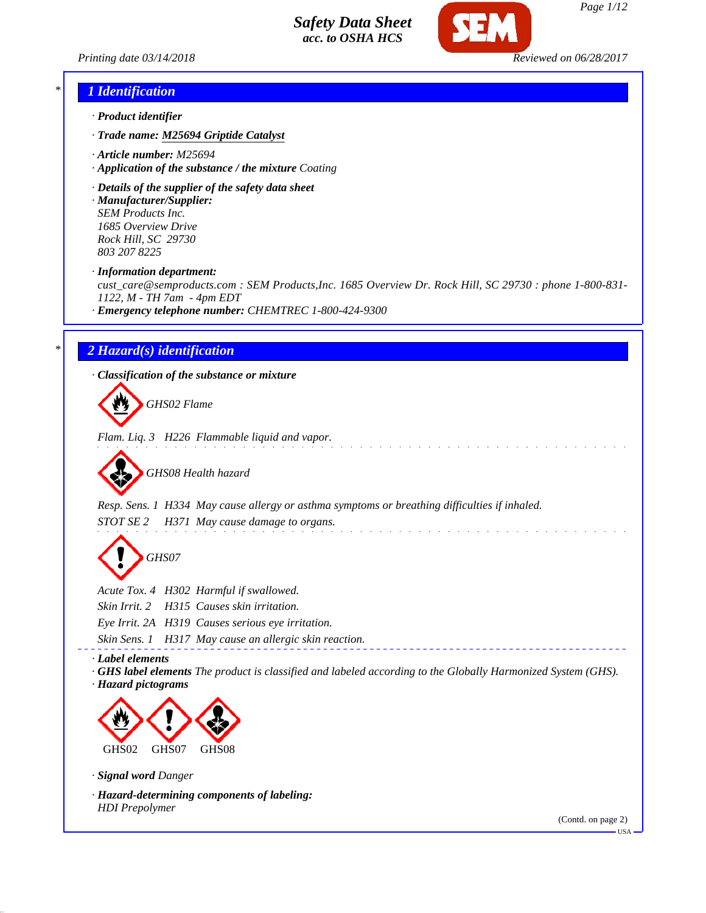

*Printing date 03/14/2018 Reviewed on 06/28/2017*

## *\* 1 Identification*

- *· Product identifier*
- *· Trade name: M25694 Griptide Catalyst*
- *· Article number: M25694*
- *· Application of the substance / the mixture Coating*
- *· Details of the supplier of the safety data sheet*
- *· Manufacturer/Supplier: SEM Products Inc. 1685 Overview Drive Rock Hill, SC 29730 803 207 8225*

*· Information department:*

*cust\_care@semproducts.com : SEM Products,Inc. 1685 Overview Dr. Rock Hill, SC 29730 : phone 1-800-831- 1122, M - TH 7am - 4pm EDT*

*· Emergency telephone number: CHEMTREC 1-800-424-9300*

# *\* 2 Hazard(s) identification*

*· Classification of the substance or mixture*

*GHS02 Flame*

*Flam. Liq. 3 H226 Flammable liquid and vapor.*

*GHS08 Health hazard*

*Resp. Sens. 1 H334 May cause allergy or asthma symptoms or breathing difficulties if inhaled. STOT SE 2 H371 May cause damage to organs.*

*GHS07*

*Acute Tox. 4 H302 Harmful if swallowed.*

*Skin Irrit. 2 H315 Causes skin irritation.*

*Eye Irrit. 2A H319 Causes serious eye irritation.*

*Skin Sens. 1 H317 May cause an allergic skin reaction.*

*· Label elements*

*· GHS label elements The product is classified and labeled according to the Globally Harmonized System (GHS). · Hazard pictograms*



*· Signal word Danger*

*· Hazard-determining components of labeling: HDI Prepolymer*

(Contd. on page 2)

USA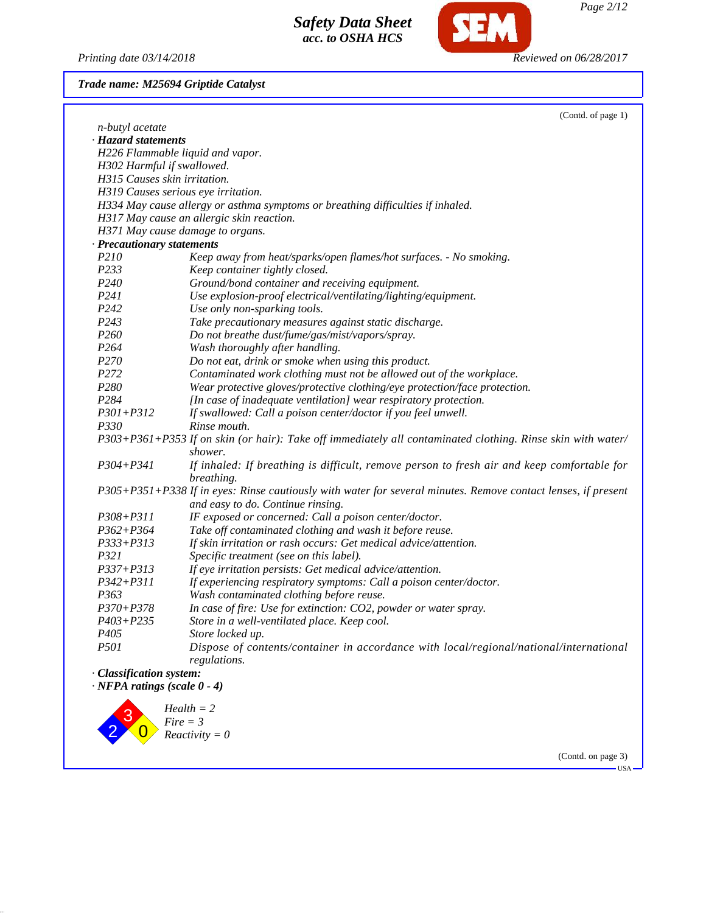*Printing date 03/14/2018 Reviewed on 06/28/2017*

2

 $\overline{0}$ 

*Fire = 3 Reactivity = 0*

SEM

*Trade name: M25694 Griptide Catalyst*

|                                       | (Contd. of page 1)                                                                                                                                 |
|---------------------------------------|----------------------------------------------------------------------------------------------------------------------------------------------------|
| n-butyl acetate                       |                                                                                                                                                    |
| · Hazard statements                   |                                                                                                                                                    |
|                                       | H226 Flammable liquid and vapor.                                                                                                                   |
| H302 Harmful if swallowed.            |                                                                                                                                                    |
| H315 Causes skin irritation.          |                                                                                                                                                    |
|                                       | H319 Causes serious eye irritation.                                                                                                                |
|                                       | H334 May cause allergy or asthma symptoms or breathing difficulties if inhaled.                                                                    |
|                                       | H317 May cause an allergic skin reaction.                                                                                                          |
|                                       | H371 May cause damage to organs.                                                                                                                   |
| · Precautionary statements            |                                                                                                                                                    |
| P210                                  | Keep away from heat/sparks/open flames/hot surfaces. - No smoking.                                                                                 |
| P233                                  | Keep container tightly closed.                                                                                                                     |
| P <sub>240</sub>                      | Ground/bond container and receiving equipment.                                                                                                     |
| P241                                  | Use explosion-proof electrical/ventilating/lighting/equipment.                                                                                     |
| P <sub>242</sub>                      | Use only non-sparking tools.                                                                                                                       |
| P <sub>243</sub>                      | Take precautionary measures against static discharge.                                                                                              |
| P <sub>260</sub>                      | Do not breathe dust/fume/gas/mist/vapors/spray.                                                                                                    |
| P <sub>264</sub>                      | Wash thoroughly after handling.                                                                                                                    |
| P <sub>270</sub>                      | Do not eat, drink or smoke when using this product.                                                                                                |
| P272                                  | Contaminated work clothing must not be allowed out of the workplace.                                                                               |
| P280                                  | Wear protective gloves/protective clothing/eye protection/face protection.                                                                         |
| P284                                  | [In case of inadequate ventilation] wear respiratory protection.                                                                                   |
| $P301 + P312$                         | If swallowed: Call a poison center/doctor if you feel unwell.                                                                                      |
| P330                                  | Rinse mouth.                                                                                                                                       |
|                                       | P303+P361+P353 If on skin (or hair): Take off immediately all contaminated clothing. Rinse skin with water/<br>shower.                             |
| $P304 + P341$                         | If inhaled: If breathing is difficult, remove person to fresh air and keep comfortable for<br>breathing.                                           |
|                                       | P305+P351+P338 If in eyes: Rinse cautiously with water for several minutes. Remove contact lenses, if present<br>and easy to do. Continue rinsing. |
| P308+P311                             | IF exposed or concerned: Call a poison center/doctor.                                                                                              |
| $P362 + P364$                         | Take off contaminated clothing and wash it before reuse.                                                                                           |
| $P333 + P313$                         | If skin irritation or rash occurs: Get medical advice/attention.                                                                                   |
| P321                                  | Specific treatment (see on this label).                                                                                                            |
| P337+P313                             | If eye irritation persists: Get medical advice/attention.                                                                                          |
| $P342 + P311$                         | If experiencing respiratory symptoms: Call a poison center/doctor.                                                                                 |
| P363                                  | Wash contaminated clothing before reuse.                                                                                                           |
| $P370 + P378$                         | In case of fire: Use for extinction: CO2, powder or water spray.                                                                                   |
| $P403 + P235$                         | Store in a well-ventilated place. Keep cool.                                                                                                       |
| P405                                  | Store locked up.                                                                                                                                   |
| <i>P501</i>                           | Dispose of contents/container in accordance with local/regional/national/international                                                             |
|                                       | regulations.                                                                                                                                       |
| · Classification system:              |                                                                                                                                                    |
| $\cdot$ NFPA ratings (scale $0 - 4$ ) |                                                                                                                                                    |
|                                       |                                                                                                                                                    |
|                                       | $Health = 2$                                                                                                                                       |
|                                       | $Fire = 3$                                                                                                                                         |

(Contd. on page 3)  $-<sub>USA</sub>$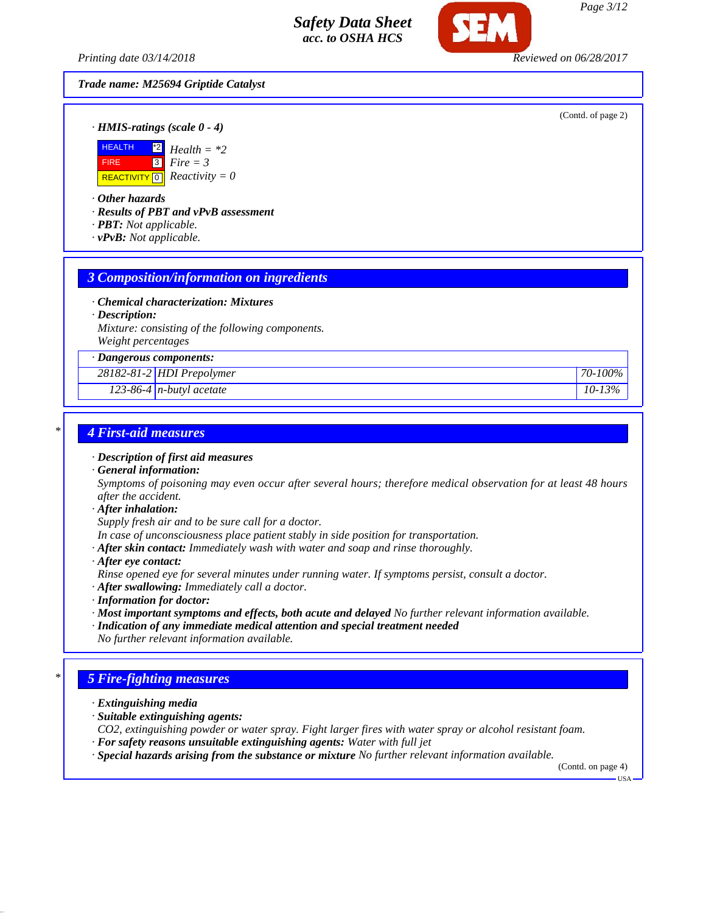*Printing date 03/14/2018 Reviewed on 06/28/2017*

## *Trade name: M25694 Griptide Catalyst*

(Contd. of page 2)

*· HMIS-ratings (scale 0 - 4)*



*· Other hazards*

*· Results of PBT and vPvB assessment*

- *· PBT: Not applicable.*
- *· vPvB: Not applicable.*

# *3 Composition/information on ingredients*

- *· Chemical characterization: Mixtures*
- *· Description:*

*Mixture: consisting of the following components. Weight percentages*

*· Dangerous components:*

*28182-81-2 HDI Prepolymer 70-100%*

*123-86-4 n-butyl acetate 10-13%*

# *\* 4 First-aid measures*

- *· Description of first aid measures*
- *· General information:*

*Symptoms of poisoning may even occur after several hours; therefore medical observation for at least 48 hours after the accident.*

*· After inhalation:*

*Supply fresh air and to be sure call for a doctor.*

- *In case of unconsciousness place patient stably in side position for transportation.*
- *· After skin contact: Immediately wash with water and soap and rinse thoroughly.*
- *· After eye contact:*

*Rinse opened eye for several minutes under running water. If symptoms persist, consult a doctor.*

- *· After swallowing: Immediately call a doctor.*
- *· Information for doctor:*
- *· Most important symptoms and effects, both acute and delayed No further relevant information available.*
- *· Indication of any immediate medical attention and special treatment needed No further relevant information available.*

# *\* 5 Fire-fighting measures*

- *· Extinguishing media*
- *· Suitable extinguishing agents:*

*CO2, extinguishing powder or water spray. Fight larger fires with water spray or alcohol resistant foam. · For safety reasons unsuitable extinguishing agents: Water with full jet*

*· Special hazards arising from the substance or mixture No further relevant information available.*

(Contd. on page 4) USA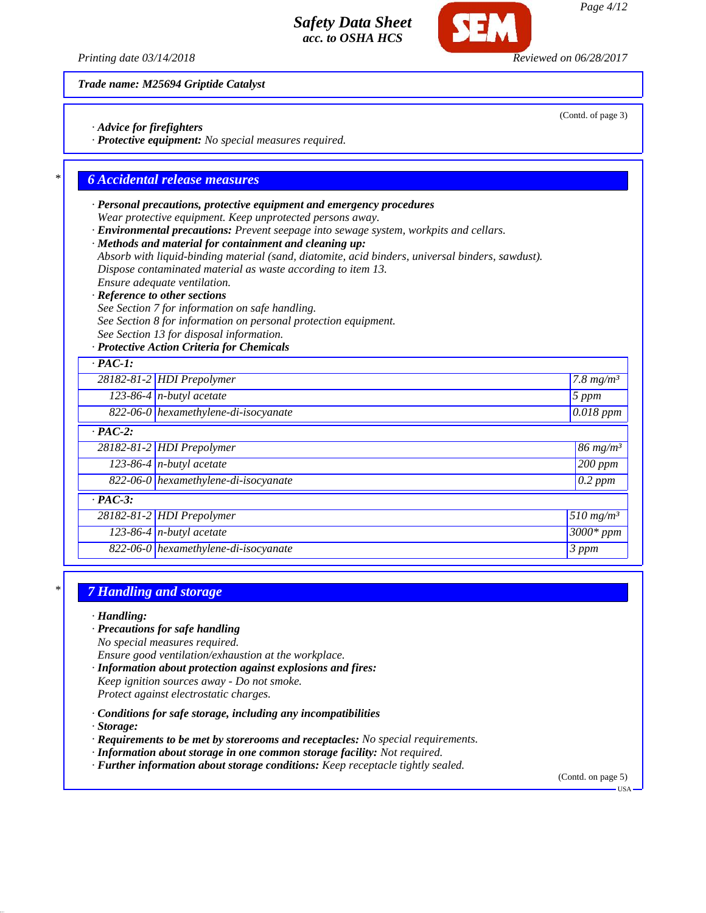(Contd. of page 3)

*Trade name: M25694 Griptide Catalyst*

*· Advice for firefighters*

*· Protective equipment: No special measures required.*

# *\* 6 Accidental release measures*

- *· Personal precautions, protective equipment and emergency procedures Wear protective equipment. Keep unprotected persons away.*
- *· Environmental precautions: Prevent seepage into sewage system, workpits and cellars.*
- *· Methods and material for containment and cleaning up:*
- *Absorb with liquid-binding material (sand, diatomite, acid binders, universal binders, sawdust). Dispose contaminated material as waste according to item 13.*
- *Ensure adequate ventilation.*
- *· Reference to other sections*
- *See Section 7 for information on safe handling.*
- *See Section 8 for information on personal protection equipment.*
- *See Section 13 for disposal information.*

## *· Protective Action Criteria for Chemicals*

| $\cdot$ PAC-1: |                                      |                              |
|----------------|--------------------------------------|------------------------------|
|                | 28182-81-2 HDI Prepolymer            | 7.8 $mg/m^3$                 |
|                | $123-86-4$ n-butyl acetate           | 5 ppm                        |
|                | 822-06-0 hexamethylene-di-isocyanate | $\overline{0.018~ppm}$       |
| $\cdot$ PAC-2: |                                      |                              |
|                | 28182-81-2 HDI Prepolymer            | $186 \; mg/m^3$              |
|                | $123-86-4$ n-butyl acetate           | 200 ppm                      |
|                | 822-06-0 hexamethylene-di-isocyanate | $0.2$ ppm                    |
| $\cdot$ PAC-3: |                                      |                              |
|                | 28182-81-2 HDI Prepolymer            | $\sqrt{5}10 \ m\text{g/m}^3$ |
|                | 123-86-4 $n$ -butyl acetate          | $3000*$ ppm                  |
|                | 822-06-0 hexamethylene-di-isocyanate | 3 ppm                        |

## *\* 7 Handling and storage*

*· Handling:*

*· Precautions for safe handling*

*No special measures required.*

*Ensure good ventilation/exhaustion at the workplace.*

- *· Information about protection against explosions and fires: Keep ignition sources away - Do not smoke. Protect against electrostatic charges.*
- *· Conditions for safe storage, including any incompatibilities*

*· Storage:*

- *· Requirements to be met by storerooms and receptacles: No special requirements.*
- *· Information about storage in one common storage facility: Not required.*
- *· Further information about storage conditions: Keep receptacle tightly sealed.*

(Contd. on page 5)

*Printing date 03/14/2018 Reviewed on 06/28/2017*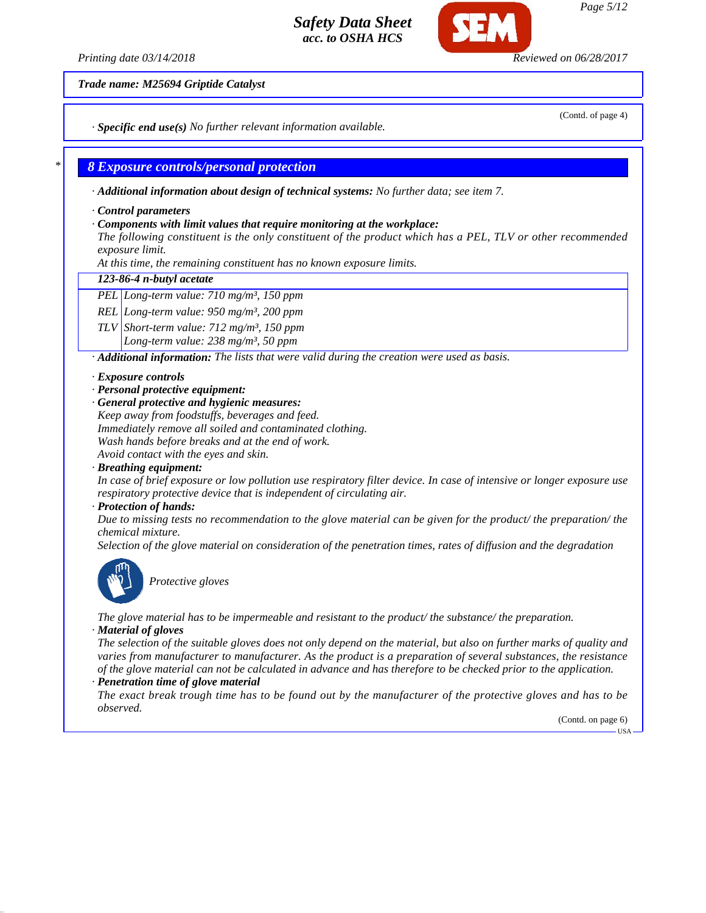*Printing date 03/14/2018 Reviewed on 06/28/2017*

*Trade name: M25694 Griptide Catalyst*

*· Specific end use(s) No further relevant information available.*

## *\* 8 Exposure controls/personal protection*

*· Additional information about design of technical systems: No further data; see item 7.*

*· Control parameters*

### *· Components with limit values that require monitoring at the workplace:*

*The following constituent is the only constituent of the product which has a PEL, TLV or other recommended exposure limit.*

*At this time, the remaining constituent has no known exposure limits.*

### *123-86-4 n-butyl acetate*

*PEL Long-term value: 710 mg/m³, 150 ppm*

*REL Long-term value: 950 mg/m³, 200 ppm*

*TLV Short-term value: 712 mg/m³, 150 ppm*

*Long-term value: 238 mg/m³, 50 ppm*

*· Additional information: The lists that were valid during the creation were used as basis.*

### *· Exposure controls*

- *· Personal protective equipment:*
- *· General protective and hygienic measures:*

*Keep away from foodstuffs, beverages and feed. Immediately remove all soiled and contaminated clothing. Wash hands before breaks and at the end of work. Avoid contact with the eyes and skin.*

*· Breathing equipment:*

*In case of brief exposure or low pollution use respiratory filter device. In case of intensive or longer exposure use respiratory protective device that is independent of circulating air.*

## *· Protection of hands:*

*Due to missing tests no recommendation to the glove material can be given for the product/ the preparation/ the chemical mixture.*

*Selection of the glove material on consideration of the penetration times, rates of diffusion and the degradation*



*Protective gloves*

*The glove material has to be impermeable and resistant to the product/ the substance/ the preparation. · Material of gloves*

*The selection of the suitable gloves does not only depend on the material, but also on further marks of quality and varies from manufacturer to manufacturer. As the product is a preparation of several substances, the resistance of the glove material can not be calculated in advance and has therefore to be checked prior to the application.*

### *· Penetration time of glove material*

*The exact break trough time has to be found out by the manufacturer of the protective gloves and has to be observed.*

> (Contd. on page 6) USA

(Contd. of page 4)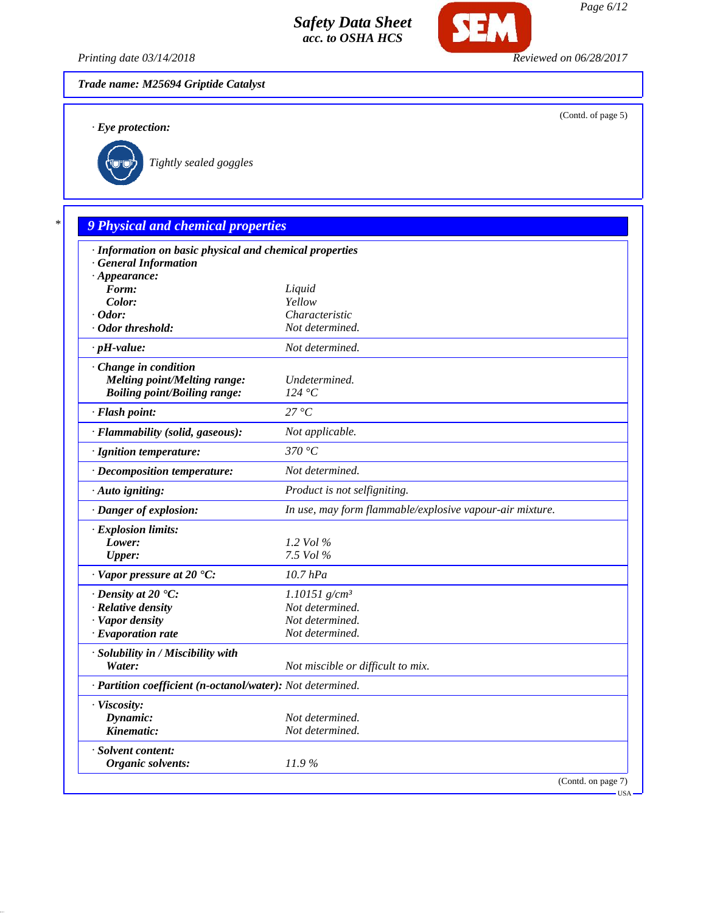

*Printing date 03/14/2018 Reviewed on 06/28/2017*

**SEM** 

*Trade name: M25694 Griptide Catalyst*

*· Eye protection:*

(Contd. of page 5)



*Tightly sealed goggles*

# *\* 9 Physical and chemical properties*

| · Information on basic physical and chemical properties<br>· General Information |                                                          |
|----------------------------------------------------------------------------------|----------------------------------------------------------|
| $\cdot$ Appearance:                                                              |                                                          |
| Form:                                                                            | Liquid                                                   |
| Color:                                                                           | Yellow                                                   |
| $\cdot$ Odor:                                                                    | Characteristic                                           |
| · Odor threshold:                                                                | Not determined.                                          |
| $\cdot$ pH-value:                                                                | Not determined.                                          |
| Change in condition                                                              |                                                          |
| <b>Melting point/Melting range:</b>                                              | Undetermined.                                            |
| <b>Boiling point/Boiling range:</b>                                              | 124 °C                                                   |
| · Flash point:                                                                   | 27 °C                                                    |
| · Flammability (solid, gaseous):                                                 | Not applicable.                                          |
| · Ignition temperature:                                                          | 370 °C                                                   |
| · Decomposition temperature:                                                     | Not determined.                                          |
| · Auto igniting:                                                                 | Product is not selfigniting.                             |
| · Danger of explosion:                                                           | In use, may form flammable/explosive vapour-air mixture. |
| · Explosion limits:                                                              |                                                          |
| Lower:                                                                           | 1.2 Vol $\%$                                             |
| <b>Upper:</b>                                                                    | 7.5 Vol %                                                |
| $\cdot$ Vapor pressure at 20 $\textdegree$ C:                                    | $10.7$ $hPa$                                             |
| $\cdot$ Density at 20 $\textdegree$ C:                                           | $1.10151$ g/cm <sup>3</sup>                              |
| · Relative density                                                               | Not determined.                                          |
| · Vapor density                                                                  | Not determined.                                          |
| $\cdot$ Evaporation rate                                                         | Not determined.                                          |
| · Solubility in / Miscibility with                                               |                                                          |
| Water:                                                                           | Not miscible or difficult to mix.                        |
| · Partition coefficient (n-octanol/water): Not determined.                       |                                                          |
| · Viscosity:                                                                     |                                                          |
| Dynamic:                                                                         | Not determined.                                          |
| Kinematic:                                                                       | Not determined.                                          |
| · Solvent content:                                                               |                                                          |
| <b>Organic solvents:</b>                                                         | 11.9%                                                    |
|                                                                                  | (Contd. on page 7)<br>$-USA -$                           |

*Page 6/12*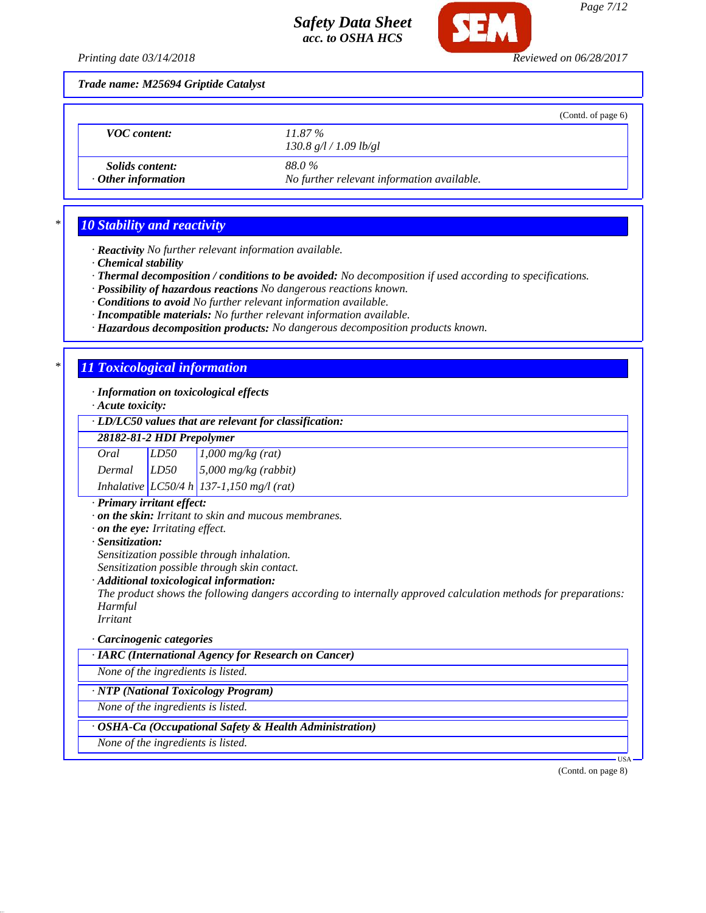

*Printing date 03/14/2018 Reviewed on 06/28/2017*

*Trade name: M25694 Griptide Catalyst*

|                                                     |                                                     | (Cond. of page 6) |
|-----------------------------------------------------|-----------------------------------------------------|-------------------|
| <b>VOC</b> content:                                 | $11.87\%$<br>130.8 g/l / 1.09 lb/gl                 |                   |
| <i>Solids content:</i><br>$\cdot$ Other information | 88.0%<br>No further relevant information available. |                   |

# *\* 10 Stability and reactivity*

*· Reactivity No further relevant information available.*

*· Chemical stability*

*· Thermal decomposition / conditions to be avoided: No decomposition if used according to specifications.*

*· Possibility of hazardous reactions No dangerous reactions known.*

*· Conditions to avoid No further relevant information available.*

*· Incompatible materials: No further relevant information available.*

*· Hazardous decomposition products: No dangerous decomposition products known.*

# *\* 11 Toxicological information*

*· Information on toxicological effects*

*· Acute toxicity:*

## *· LD/LC50 values that are relevant for classification:*

*28182-81-2 HDI Prepolymer*

| Oral   | LD50 |                                                                                                           |
|--------|------|-----------------------------------------------------------------------------------------------------------|
| Dermal | LD50 | $\begin{array}{ l } \hline 1,000 \text{ mg/kg (rat)}\\ 5,000 \text{ mg/kg (rabbit)}\\ \hline \end{array}$ |
|        |      | Inhalative $LC50/4 h$ 137-1,150 mg/l (rat)                                                                |

### *· Primary irritant effect:*

*· on the skin: Irritant to skin and mucous membranes.*

*· on the eye: Irritating effect.*

*· Sensitization:*

*Sensitization possible through inhalation.*

*Sensitization possible through skin contact.*

### *· Additional toxicological information:*

*The product shows the following dangers according to internally approved calculation methods for preparations: Harmful*

*Irritant*

### *· Carcinogenic categories*

*· IARC (International Agency for Research on Cancer)*

*None of the ingredients is listed.*

## *· NTP (National Toxicology Program)*

*None of the ingredients is listed.*

## *· OSHA-Ca (Occupational Safety & Health Administration)*

*None of the ingredients is listed.*

(Contd. on page 8)

USA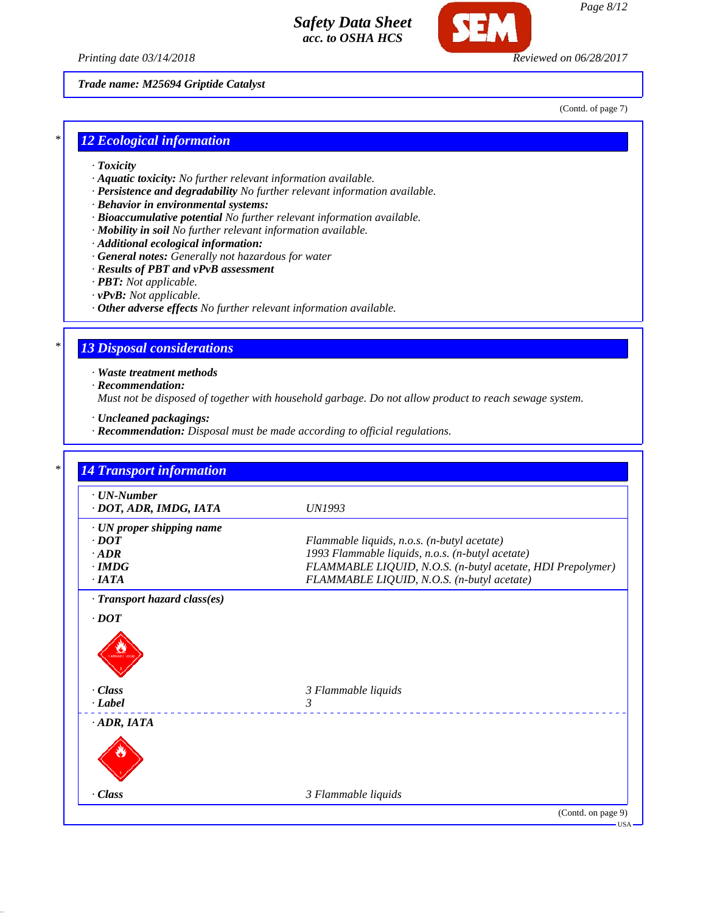



*Page 8/12*

*Trade name: M25694 Griptide Catalyst*

(Contd. of page 7)

# *\* 12 Ecological information*

- *· Toxicity*
- *· Aquatic toxicity: No further relevant information available.*
- *· Persistence and degradability No further relevant information available.*
- *· Behavior in environmental systems:*
- *· Bioaccumulative potential No further relevant information available.*
- *· Mobility in soil No further relevant information available.*
- *· Additional ecological information:*
- *· General notes: Generally not hazardous for water*
- *· Results of PBT and vPvB assessment*
- *· PBT: Not applicable.*
- *· vPvB: Not applicable.*
- *· Other adverse effects No further relevant information available.*

# *\* 13 Disposal considerations*

*· Waste treatment methods*

*· Recommendation:*

*Must not be disposed of together with household garbage. Do not allow product to reach sewage system.*

- *· Uncleaned packagings:*
- *· Recommendation: Disposal must be made according to official regulations.*

| $\cdot$ UN-Number         |                                                            |
|---------------------------|------------------------------------------------------------|
| · DOT, ADR, IMDG, IATA    | <i>UN1993</i>                                              |
| · UN proper shipping name |                                                            |
| $\cdot$ DOT               | Flammable liquids, n.o.s. (n-butyl acetate)                |
| $\cdot$ ADR               | 1993 Flammable liquids, n.o.s. (n-butyl acetate)           |
| $\cdot$ IMDG              | FLAMMABLE LIQUID, N.O.S. (n-butyl acetate, HDI Prepolymer) |
| $\cdot$ IATA              | FLAMMABLE LIQUID, N.O.S. (n-butyl acetate)                 |
|                           |                                                            |
| · Class                   | 3 Flammable liquids                                        |
| · Label                   | 3                                                          |
| $\cdot$ ADR, IATA         |                                                            |

USA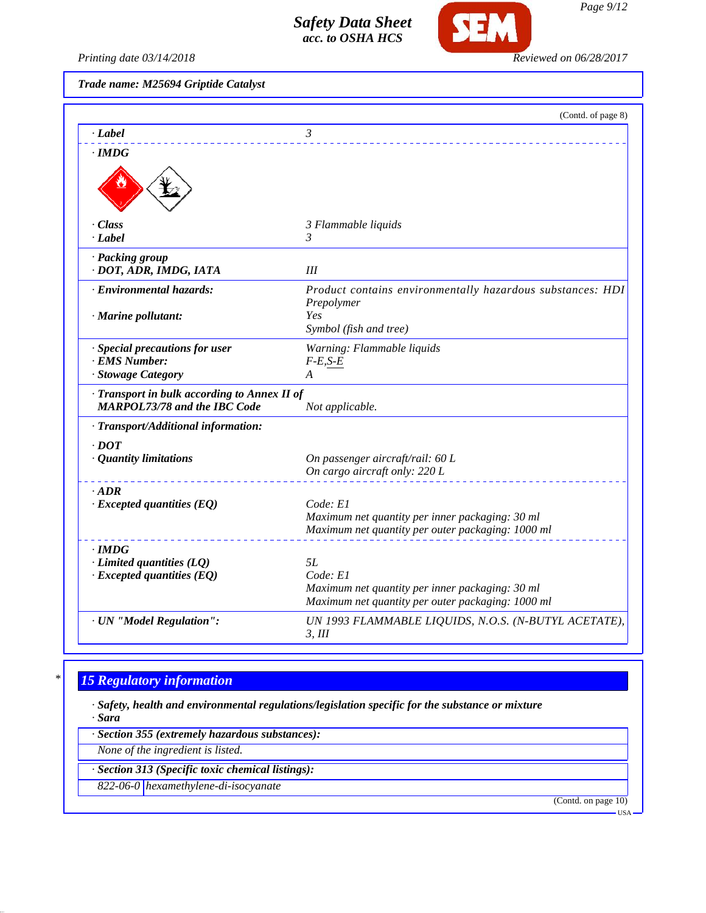

*Printing date 03/14/2018 Reviewed on 06/28/2017*

*Trade name: M25694 Griptide Catalyst*

|                                                                                   | (Contd. of page 8)                                             |
|-----------------------------------------------------------------------------------|----------------------------------------------------------------|
| · Label                                                                           | 3                                                              |
| $\cdot$ IMDG                                                                      |                                                                |
|                                                                                   |                                                                |
| · Class                                                                           | 3 Flammable liquids                                            |
| · Label                                                                           | 3                                                              |
| · Packing group                                                                   |                                                                |
| · DOT, ADR, IMDG, IATA                                                            | Ш                                                              |
| · Environmental hazards:                                                          | Product contains environmentally hazardous substances: HDI     |
|                                                                                   | Prepolymer                                                     |
| $\cdot$ Marine pollutant:                                                         | Yes<br>Symbol (fish and tree)                                  |
|                                                                                   |                                                                |
| · Special precautions for user<br>· EMS Number:                                   | Warning: Flammable liquids<br>$F-E,S-E$                        |
| · Stowage Category                                                                | A                                                              |
|                                                                                   |                                                                |
| Transport in bulk according to Annex II of<br><b>MARPOL73/78 and the IBC Code</b> | Not applicable.                                                |
| · Transport/Additional information:                                               |                                                                |
| $\cdot$ DOT                                                                       |                                                                |
| · Quantity limitations                                                            | On passenger aircraft/rail: 60 L                               |
|                                                                                   | On cargo aircraft only: 220 L                                  |
| $\cdot$ ADR                                                                       |                                                                |
| $\cdot$ Excepted quantities (EQ)                                                  | Code: El                                                       |
|                                                                                   | Maximum net quantity per inner packaging: 30 ml                |
|                                                                                   | Maximum net quantity per outer packaging: 1000 ml              |
| $\cdot$ IMDG                                                                      |                                                                |
| $\cdot$ Limited quantities (LQ)                                                   | 5L<br>Code: E1                                                 |
| $\cdot$ Excepted quantities (EQ)                                                  | Maximum net quantity per inner packaging: 30 ml                |
|                                                                                   | Maximum net quantity per outer packaging: 1000 ml              |
| · UN "Model Regulation":                                                          |                                                                |
|                                                                                   | UN 1993 FLAMMABLE LIQUIDS, N.O.S. (N-BUTYL ACETATE),<br>3, III |

# *\* 15 Regulatory information*

*· Safety, health and environmental regulations/legislation specific for the substance or mixture · Sara*

*· Section 355 (extremely hazardous substances):*

*None of the ingredient is listed.*

*· Section 313 (Specific toxic chemical listings):*

*822-06-0 hexamethylene-di-isocyanate*

(Contd. on page 10) USA

*Page 9/12*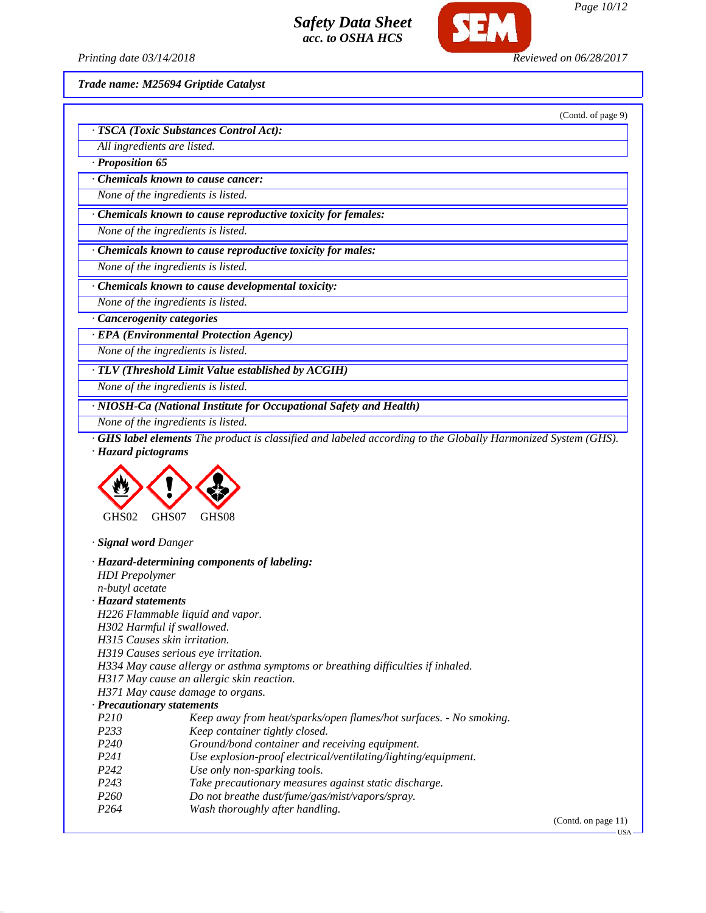

*Page 10/12*

(Contd. of page 9)

*Printing date 03/14/2018 Reviewed on 06/28/2017*

*Trade name: M25694 Griptide Catalyst*

| All ingredients are listed.          |                                                                                                                        |
|--------------------------------------|------------------------------------------------------------------------------------------------------------------------|
| · Proposition 65                     |                                                                                                                        |
|                                      | <b>Chemicals known to cause cancer:</b>                                                                                |
|                                      | None of the ingredients is listed.                                                                                     |
|                                      | · Chemicals known to cause reproductive toxicity for females:                                                          |
|                                      | None of the ingredients is listed.                                                                                     |
|                                      | · Chemicals known to cause reproductive toxicity for males:                                                            |
|                                      | None of the ingredients is listed.                                                                                     |
|                                      | · Chemicals known to cause developmental toxicity:                                                                     |
|                                      | None of the ingredients is listed.                                                                                     |
|                                      | · Cancerogenity categories                                                                                             |
|                                      | · EPA (Environmental Protection Agency)                                                                                |
|                                      | None of the ingredients is listed.                                                                                     |
|                                      |                                                                                                                        |
|                                      | · TLV (Threshold Limit Value established by ACGIH)                                                                     |
|                                      | None of the ingredients is listed.                                                                                     |
|                                      | · NIOSH-Ca (National Institute for Occupational Safety and Health)                                                     |
|                                      | None of the ingredients is listed.                                                                                     |
| · Hazard pictograms                  |                                                                                                                        |
| GHS02                                | GHS07<br>GHS08                                                                                                         |
| · Signal word Danger                 |                                                                                                                        |
|                                      | · Hazard-determining components of labeling:                                                                           |
| <b>HDI</b> Prepolymer                |                                                                                                                        |
| n-butyl acetate                      |                                                                                                                        |
| · Hazard statements                  |                                                                                                                        |
|                                      | H226 Flammable liquid and vapor.                                                                                       |
|                                      | H302 Harmful if swallowed.                                                                                             |
|                                      | H315 Causes skin irritation.                                                                                           |
|                                      | H319 Causes serious eye irritation.<br>H334 May cause allergy or asthma symptoms or breathing difficulties if inhaled. |
|                                      | H317 May cause an allergic skin reaction.                                                                              |
|                                      | H371 May cause damage to organs.                                                                                       |
|                                      | · Precautionary statements                                                                                             |
| P210                                 | Keep away from heat/sparks/open flames/hot surfaces. - No smoking.                                                     |
| P233                                 | Keep container tightly closed.                                                                                         |
| P240                                 | Ground/bond container and receiving equipment.                                                                         |
| P241                                 | Use explosion-proof electrical/ventilating/lighting/equipment.                                                         |
| P242                                 | Use only non-sparking tools.                                                                                           |
| P <sub>243</sub><br>P <sub>260</sub> | Take precautionary measures against static discharge.                                                                  |
| P <sub>264</sub>                     | Do not breathe dust/fume/gas/mist/vapors/spray.<br>Wash thoroughly after handling.                                     |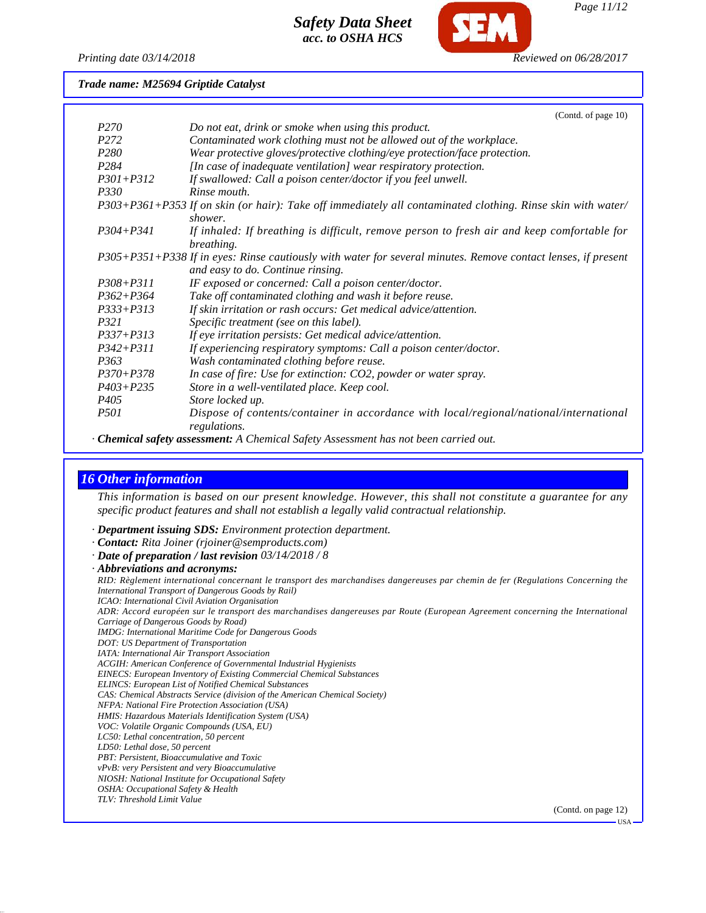

*Page 11/12*

*Printing date 03/14/2018 Reviewed on 06/28/2017*

*Trade name: M25694 Griptide Catalyst*

|                   | (Contd. of page 10)                                                                                                                                                                                                                                                                                                                                                                  |
|-------------------|--------------------------------------------------------------------------------------------------------------------------------------------------------------------------------------------------------------------------------------------------------------------------------------------------------------------------------------------------------------------------------------|
| <i>P270</i>       | Do not eat, drink or smoke when using this product.                                                                                                                                                                                                                                                                                                                                  |
| P <sub>272</sub>  | Contaminated work clothing must not be allowed out of the workplace.                                                                                                                                                                                                                                                                                                                 |
| P <sub>280</sub>  | Wear protective gloves/protective clothing/eye protection/face protection.                                                                                                                                                                                                                                                                                                           |
| P <sub>284</sub>  | [In case of inadequate ventilation] wear respiratory protection.                                                                                                                                                                                                                                                                                                                     |
| $P301 + P312$     | If swallowed: Call a poison center/doctor if you feel unwell.                                                                                                                                                                                                                                                                                                                        |
| <i>P330</i>       | Rinse mouth.                                                                                                                                                                                                                                                                                                                                                                         |
|                   | P303+P361+P353 If on skin (or hair): Take off immediately all contaminated clothing. Rinse skin with water/<br>shower.                                                                                                                                                                                                                                                               |
| $P304 + P341$     | If inhaled: If breathing is difficult, remove person to fresh air and keep comfortable for<br>breathing.                                                                                                                                                                                                                                                                             |
|                   | P305+P351+P338 If in eyes: Rinse cautiously with water for several minutes. Remove contact lenses, if present<br>and easy to do. Continue rinsing.                                                                                                                                                                                                                                   |
| $P308 + P311$     | IF exposed or concerned: Call a poison center/doctor.                                                                                                                                                                                                                                                                                                                                |
| $P362 + P364$     | Take off contaminated clothing and wash it before reuse.                                                                                                                                                                                                                                                                                                                             |
| $P333 + P313$     | If skin irritation or rash occurs: Get medical advice/attention.                                                                                                                                                                                                                                                                                                                     |
| <i>P321</i>       | Specific treatment (see on this label).                                                                                                                                                                                                                                                                                                                                              |
| $P337 + P313$     | If eye irritation persists: Get medical advice/attention.                                                                                                                                                                                                                                                                                                                            |
| $P342 + P311$     | If experiencing respiratory symptoms: Call a poison center/doctor.                                                                                                                                                                                                                                                                                                                   |
| P <sub>363</sub>  | Wash contaminated clothing before reuse.                                                                                                                                                                                                                                                                                                                                             |
| $P370 + P378$     | In case of fire: Use for extinction: CO2, powder or water spray.                                                                                                                                                                                                                                                                                                                     |
| $P403 + P235$     | Store in a well-ventilated place. Keep cool.                                                                                                                                                                                                                                                                                                                                         |
| <i>P405</i>       | Store locked up.                                                                                                                                                                                                                                                                                                                                                                     |
| <i>P501</i>       | Dispose of contents/container in accordance with local/regional/national/international<br>regulations.                                                                                                                                                                                                                                                                               |
| $\alpha$ $\alpha$ | $\overline{1}$ $\overline{1}$ $\overline{1}$ $\overline{1}$ $\overline{1}$ $\overline{1}$ $\overline{1}$ $\overline{1}$ $\overline{1}$ $\overline{1}$ $\overline{1}$ $\overline{1}$ $\overline{1}$ $\overline{1}$ $\overline{1}$ $\overline{1}$ $\overline{1}$ $\overline{1}$ $\overline{1}$ $\overline{1}$ $\overline{1}$ $\overline{1}$ $\overline{1}$ $\overline{1}$ $\overline{$ |

*· Chemical safety assessment: A Chemical Safety Assessment has not been carried out.*

# *16 Other information*

*This information is based on our present knowledge. However, this shall not constitute a guarantee for any specific product features and shall not establish a legally valid contractual relationship.*

- *· Department issuing SDS: Environment protection department.*
- *· Contact: Rita Joiner (rjoiner@semproducts.com)*
- *· Date of preparation / last revision 03/14/2018 / 8*
- *· Abbreviations and acronyms:*

*RID: Règlement international concernant le transport des marchandises dangereuses par chemin de fer (Regulations Concerning the International Transport of Dangerous Goods by Rail) ICAO: International Civil Aviation Organisation ADR: Accord européen sur le transport des marchandises dangereuses par Route (European Agreement concerning the International Carriage of Dangerous Goods by Road)*

*IMDG: International Maritime Code for Dangerous Goods*

- *DOT: US Department of Transportation*
- *IATA: International Air Transport Association*
- *ACGIH: American Conference of Governmental Industrial Hygienists*
- *EINECS: European Inventory of Existing Commercial Chemical Substances*
- *ELINCS: European List of Notified Chemical Substances*
- *CAS: Chemical Abstracts Service (division of the American Chemical Society)*
- *NFPA: National Fire Protection Association (USA) HMIS: Hazardous Materials Identification System (USA)*
- *VOC: Volatile Organic Compounds (USA, EU)*
- *LC50: Lethal concentration, 50 percent*
- *LD50: Lethal dose, 50 percent*
- *PBT: Persistent, Bioaccumulative and Toxic*
- *vPvB: very Persistent and very Bioaccumulative*
- *NIOSH: National Institute for Occupational Safety*
- *OSHA: Occupational Safety & Health*
- *TLV: Threshold Limit Value*

(Contd. on page 12)

USA